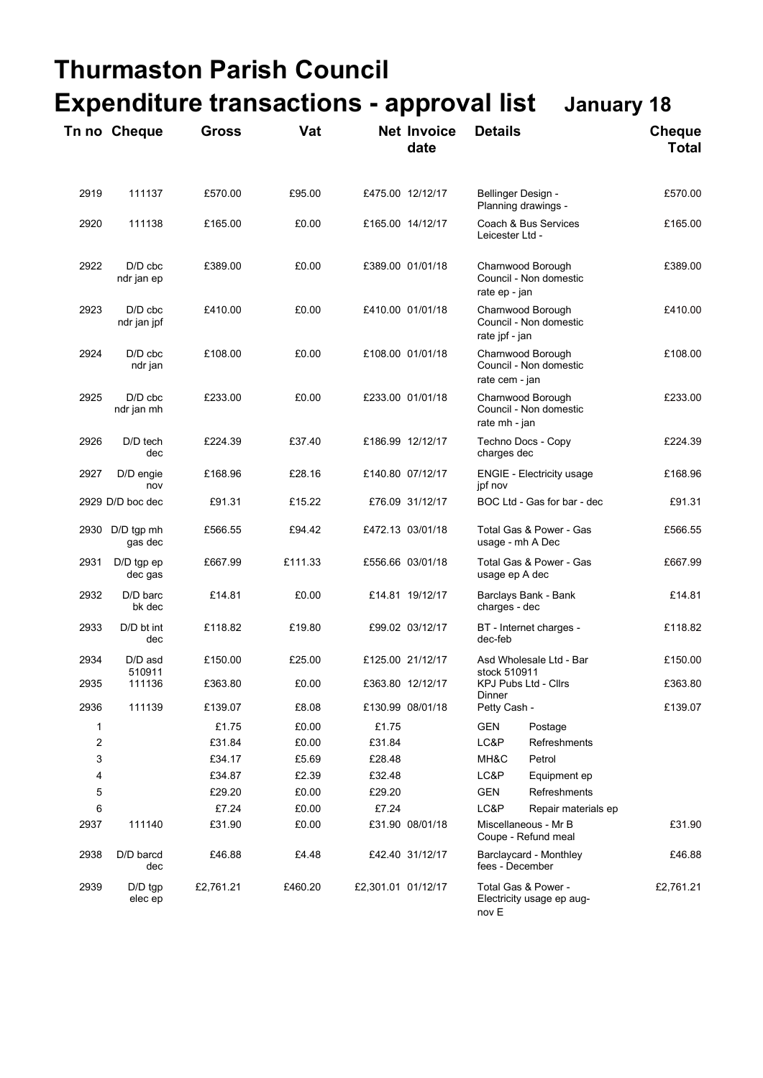## **Thurmaston Parish Council Expenditure transactions - approval list January 18**

|      | Tn no Cheque             | <b>Gross</b> | Vat     |                    | <b>Net Invoice</b><br>date | <b>Details</b>                                                |                                             | <b>Cheque</b><br><b>Total</b> |  |
|------|--------------------------|--------------|---------|--------------------|----------------------------|---------------------------------------------------------------|---------------------------------------------|-------------------------------|--|
| 2919 | 111137                   | £570.00      | £95.00  |                    | £475.00 12/12/17           | Bellinger Design -<br>Planning drawings -                     |                                             | £570.00                       |  |
| 2920 | 111138                   | £165.00      | £0.00   |                    | £165.00 14/12/17           |                                                               | Coach & Bus Services<br>Leicester Ltd -     |                               |  |
| 2922 | $D/D$ cbc<br>ndr jan ep  | £389.00      | £0.00   |                    | £389.00 01/01/18           | Charnwood Borough<br>Council - Non domestic<br>rate ep - jan  |                                             | £389.00                       |  |
| 2923 | $D/D$ cbc<br>ndr jan jpf | £410.00      | £0.00   |                    | £410.00 01/01/18           | Charnwood Borough<br>Council - Non domestic<br>rate jpf - jan |                                             | £410.00                       |  |
| 2924 | $D/D$ cbc<br>ndr jan     | £108.00      | £0.00   |                    | £108.00 01/01/18           | Charnwood Borough<br>Council - Non domestic<br>rate cem - jan |                                             | £108.00                       |  |
| 2925 | $D/D$ cbc<br>ndr jan mh  | £233.00      | £0.00   |                    | £233.00 01/01/18           | Charnwood Borough<br>Council - Non domestic<br>rate mh - jan  |                                             | £233.00                       |  |
| 2926 | D/D tech<br>dec          | £224.39      | £37.40  |                    | £186.99 12/12/17           | Techno Docs - Copy<br>charges dec                             |                                             | £224.39                       |  |
| 2927 | D/D engie<br>nov         | £168.96      | £28.16  |                    | £140.80 07/12/17           | <b>ENGIE - Electricity usage</b><br>jpf nov                   |                                             | £168.96                       |  |
|      | 2929 D/D boc dec         | £91.31       | £15.22  |                    | £76.09 31/12/17            | BOC Ltd - Gas for bar - dec                                   |                                             | £91.31                        |  |
| 2930 | D/D tgp mh<br>gas dec    | £566.55      | £94.42  |                    | £472.13 03/01/18           | Total Gas & Power - Gas<br>usage - mh A Dec                   |                                             | £566.55                       |  |
| 2931 | $D/D$ tgp ep<br>dec gas  | £667.99      | £111.33 |                    | £556.66 03/01/18           | Total Gas & Power - Gas<br>usage ep A dec                     |                                             | £667.99                       |  |
| 2932 | D/D barc<br>bk dec       | £14.81       | £0.00   |                    | £14.81 19/12/17            | Barclays Bank - Bank<br>charges - dec                         |                                             | £14.81                        |  |
| 2933 | $D/D$ bt int<br>dec      | £118.82      | £19.80  |                    | £99.02 03/12/17            | BT - Internet charges -<br>dec-feb                            |                                             | £118.82                       |  |
| 2934 | D/D asd                  | £150.00      | £25.00  |                    | £125.00 21/12/17           | Asd Wholesale Ltd - Bar                                       |                                             | £150.00                       |  |
| 2935 | 510911<br>111136         | £363.80      | £0.00   |                    | £363.80 12/12/17           | stock 510911<br>Dinner                                        | <b>KPJ Pubs Ltd - Cllrs</b>                 | £363.80                       |  |
| 2936 | 111139                   | £139.07      | £8.08   |                    | £130.99 08/01/18           | Petty Cash -                                                  |                                             | £139.07                       |  |
| 1    |                          | £1.75        | £0.00   | £1.75              |                            | <b>GEN</b>                                                    | Postage                                     |                               |  |
| 2    |                          | £31.84       | £0.00   | £31.84             |                            | LC&P                                                          | <b>Refreshments</b>                         |                               |  |
| 3    |                          | £34.17       | £5.69   | £28.48             |                            | MH&C                                                          | Petrol                                      |                               |  |
| 4    |                          | £34.87       | £2.39   | £32.48             |                            | LC&P                                                          | Equipment ep                                |                               |  |
| 5    |                          | £29.20       | £0.00   | £29.20             |                            | <b>GEN</b>                                                    | Refreshments                                |                               |  |
| 6    |                          | £7.24        | £0.00   | £7.24              |                            | LC&P                                                          | Repair materials ep                         |                               |  |
| 2937 | 111140                   | £31.90       | £0.00   |                    | £31.90 08/01/18            |                                                               | Miscellaneous - Mr B<br>Coupe - Refund meal |                               |  |
| 2938 | D/D barcd<br>dec         | £46.88       | £4.48   |                    | £42.40 31/12/17            |                                                               | Barclaycard - Monthley<br>fees - December   |                               |  |
| 2939 | $D/D$ tgp<br>elec ep     | £2,761.21    | £460.20 | £2,301.01 01/12/17 |                            | Total Gas & Power -<br>Electricity usage ep aug-<br>nov E     |                                             | £2,761.21                     |  |